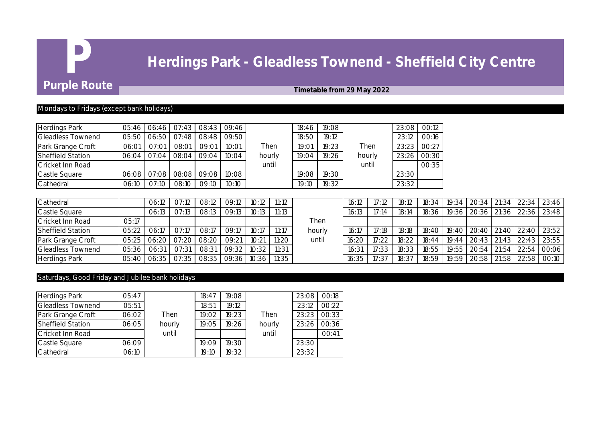# **P Herdings Park - Gleadless Townend - Sheffield City Centre**<br>Purple Route

# **Fimetable from 29 May 2022**

### Mondays to Fridays (except bank holidays)

| <b>Herdings Park</b>     | $05:46$ I |             | 06:46 07:43     | 08:43 09:46 |       |        | 18:46 | 19:08 |        | 23:08 | 00:12 |
|--------------------------|-----------|-------------|-----------------|-------------|-------|--------|-------|-------|--------|-------|-------|
| <b>Gleadless Townend</b> | 05:50     | 06:50       | $\bigcup$ 07:48 | 08:48       | 09:50 |        | 18:50 | 19:12 |        | 23:12 | 00:16 |
| Park Grange Croft        | 06:01     | 07:01       | 08:01           | 09:01       | 10:01 | Then   | 19:01 | 19:23 | Then   | 23:23 | 00:27 |
| <b>Sheffield Station</b> | 06:04     | 07:04       | 08:04           | 09:04       | 10:04 | hourly | 19:04 | 19:26 | hourly | 23:26 | 00:30 |
| Cricket Inn Road         |           |             |                 |             |       | until  |       |       | until  |       | 00:35 |
| Castle Square            |           | 06:08 07:08 | 08:08           | 09:08       | 10:08 |        | 19:08 | 19:30 |        | 23:30 |       |
| Cathedral                | 06:10     | 07:10       | 08:10           | 09:10       | 10:10 |        | 19:10 | 19:32 |        | 23:32 |       |

| Cathedral                |       | 06:12       | 07:12 | 08:12       | $09:12$     | 10:12- | 11:12 |        | 16:12 | 17:12 | 18:12 | 18:34 | 19:34   20:34   21:34   22:34   23:46         |  |                   |
|--------------------------|-------|-------------|-------|-------------|-------------|--------|-------|--------|-------|-------|-------|-------|-----------------------------------------------|--|-------------------|
| Castle Square            |       | 06:13       | O7:13 | 08:13       | 09:13       |        | 11:13 |        | 16:13 | 7:14  | 18:14 | 18:36 | 19:36   20:36   21:36   22:36   23:48         |  |                   |
| Cricket Inn Road         | 05:17 |             |       |             |             |        |       | Then   |       |       |       |       |                                               |  |                   |
| <b>Sheffield Station</b> | 05:22 | 06:17       | O7:1  | 08:17       | 09:17       | 10:17  | 11:17 | hourly | 16:17 | 17:18 | 18:18 |       | 18:40   19:40   20:40   21:40   22:40   23:52 |  |                   |
| Park Grange Croft        |       | 05:25 06:20 | 07:20 | 08:20       | 09:21       | 10:21  | 11:20 | until  | 16:20 | 17:22 | 18:22 | 18:44 | 19:44 20:43 21:43 22:43 23:55                 |  |                   |
| <b>Gleadless Townend</b> | 05:36 | 06:31       | 07:31 | 08:31       | 09:32       | 10:32  | 11:31 |        | 16:31 | 17:33 | 18:33 | 18:55 | 19:55 20:54                                   |  | 21:54 22:54 00:06 |
| Herdings Park            |       | 05:40 06:35 |       | 07:35 08:35 | 09:36 10:36 |        | 11:35 |        | 16:35 | 17:37 | 18:37 | 18:59 | 19:59   20:58   21:58   22:58   00:10         |  |                   |

# Saturdays, Good Friday and Jubilee bank holidays

| Herdings Park            | 05:47 |        | 18:47 | 19:08 |        | 23:08 | 00:18 |
|--------------------------|-------|--------|-------|-------|--------|-------|-------|
| <b>Gleadless Townend</b> | 05:51 |        | 18:51 | 19:12 |        | 23:12 | 00:22 |
| Park Grange Croft        | 06:02 | Then   | 19:02 | 19:23 | Then   | 23:23 | 00:33 |
| <b>Sheffield Station</b> | 06:05 | hourly | 19:05 | 19:26 | hourly | 23:26 | 00:36 |
| Cricket Inn Road         |       | until  |       |       | until  |       | 00:41 |
| Castle Square            | 06:09 |        | 19:09 | 19:30 |        | 23:30 |       |
| Cathedral                | 06:10 |        | 19:10 | 19:32 |        | 23:32 |       |